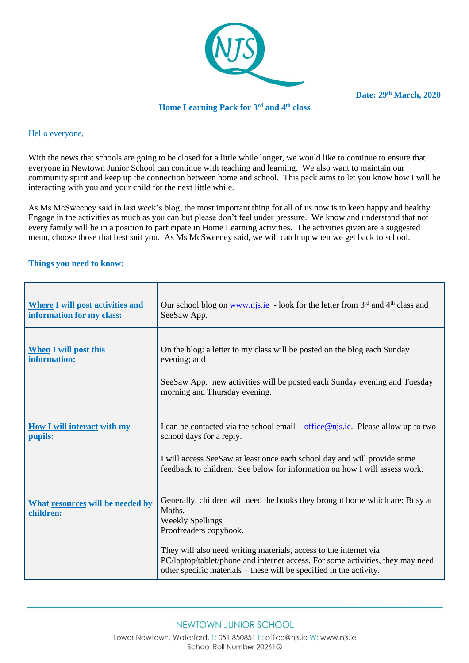

**Date: 29th March, 2020**

### **Home Learning Pack for 3 rd and 4th class**

# Hello everyone,

With the news that schools are going to be closed for a little while longer, we would like to continue to ensure that everyone in Newtown Junior School can continue with teaching and learning. We also want to maintain our community spirit and keep up the connection between home and school. This pack aims to let you know how I will be interacting with you and your child for the next little while.

As Ms McSweeney said in last week's blog, the most important thing for all of us now is to keep happy and healthy. Engage in the activities as much as you can but please don't feel under pressure. We know and understand that not every family will be in a position to participate in Home Learning activities. The activities given are a suggested menu, choose those that best suit you. As Ms McSweeney said, we will catch up when we get back to school.

#### **Things you need to know:**

| <b>Where I will post activities and</b><br>information for my class: | Our school blog on www.njs.ie - look for the letter from $3rd$ and $4th$ class and<br>SeeSaw App.                                                                                                                                                                         |
|----------------------------------------------------------------------|---------------------------------------------------------------------------------------------------------------------------------------------------------------------------------------------------------------------------------------------------------------------------|
| <b>When</b> I will post this<br>information:                         | On the blog: a letter to my class will be posted on the blog each Sunday<br>evening; and                                                                                                                                                                                  |
|                                                                      | See Saw App: new activities will be posted each Sunday evening and Tuesday<br>morning and Thursday evening.                                                                                                                                                               |
| <b>How I will interact with my</b><br>pupils:                        | I can be contacted via the school email – office $@$ njs.ie. Please allow up to two<br>school days for a reply.<br>I will access SeeSaw at least once each school day and will provide some<br>feedback to children. See below for information on how I will assess work. |
| What resources will be needed by<br>children:                        | Generally, children will need the books they brought home which are: Busy at<br>Maths.<br><b>Weekly Spellings</b><br>Proofreaders copybook.                                                                                                                               |
|                                                                      | They will also need writing materials, access to the internet via<br>PC/laptop/tablet/phone and internet access. For some activities, they may need<br>other specific materials – these will be specified in the activity.                                                |

## NEWTOWN JUNIOR SCHOOL

Lower Newtown, Waterford. T: 051 850851 E: office@njs.ie W: www.njs.ie School Roll Number 20261Q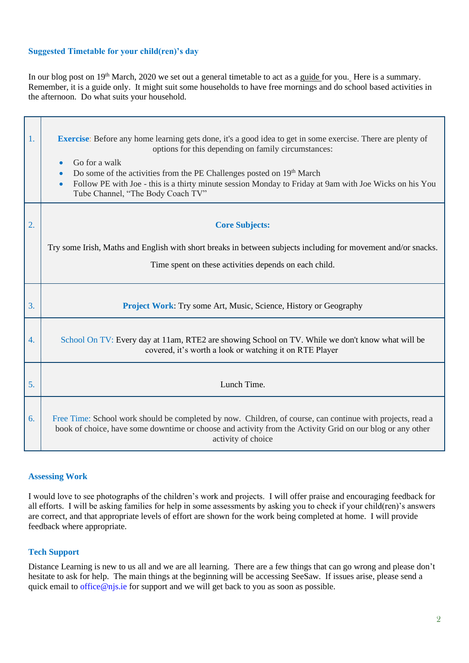## **Suggested Timetable for your child(ren)'s day**

In our blog post on 19<sup>th</sup> March, 2020 we set out a general timetable to act as a guide for you. Here is a summary. Remember, it is a guide only. It might suit some households to have free mornings and do school based activities in the afternoon. Do what suits your household.

| 1. | <b>Exercise:</b> Before any home learning gets done, it's a good idea to get in some exercise. There are plenty of<br>options for this depending on family circumstances:<br>Go for a walk<br>$\bullet$<br>Do some of the activities from the PE Challenges posted on 19 <sup>th</sup> March<br>$\bullet$<br>Follow PE with Joe - this is a thirty minute session Monday to Friday at 9am with Joe Wicks on his You<br>$\bullet$<br>Tube Channel, "The Body Coach TV" |
|----|-----------------------------------------------------------------------------------------------------------------------------------------------------------------------------------------------------------------------------------------------------------------------------------------------------------------------------------------------------------------------------------------------------------------------------------------------------------------------|
| 2. | <b>Core Subjects:</b>                                                                                                                                                                                                                                                                                                                                                                                                                                                 |
|    | Try some Irish, Maths and English with short breaks in between subjects including for movement and/or snacks.<br>Time spent on these activities depends on each child.                                                                                                                                                                                                                                                                                                |
| 3. | <b>Project Work:</b> Try some Art, Music, Science, History or Geography                                                                                                                                                                                                                                                                                                                                                                                               |
| 4. | School On TV: Every day at 11am, RTE2 are showing School on TV. While we don't know what will be<br>covered, it's worth a look or watching it on RTE Player                                                                                                                                                                                                                                                                                                           |
| 5. | Lunch Time.                                                                                                                                                                                                                                                                                                                                                                                                                                                           |
| 6. | Free Time: School work should be completed by now. Children, of course, can continue with projects, read a<br>book of choice, have some downtime or choose and activity from the Activity Grid on our blog or any other<br>activity of choice                                                                                                                                                                                                                         |

#### **Assessing Work**

I would love to see photographs of the children's work and projects. I will offer praise and encouraging feedback for all efforts. I will be asking families for help in some assessments by asking you to check if your child(ren)'s answers are correct, and that appropriate levels of effort are shown for the work being completed at home. I will provide feedback where appropriate.

#### **Tech Support**

Distance Learning is new to us all and we are all learning. There are a few things that can go wrong and please don't hesitate to ask for help. The main things at the beginning will be accessing SeeSaw. If issues arise, please send a quick email to [office@njs.ie](mailto:office@njs.ie) for support and we will get back to you as soon as possible.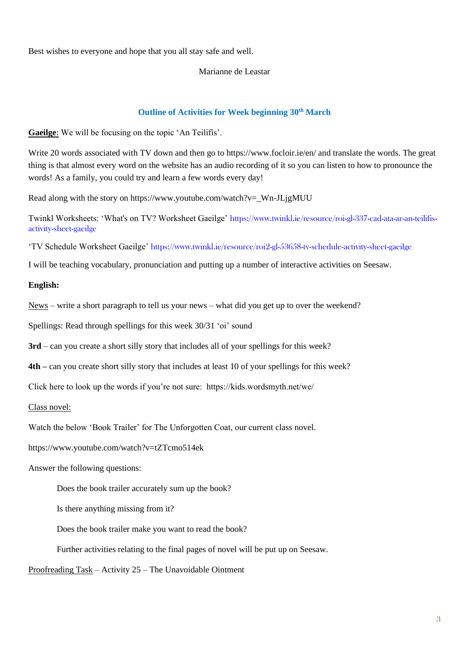Best wishes to everyone and hope that you all stay safe and well.

### Marianne de Leastar

## **Outline of Activities for Week beginning 30th March**

**Gaeilge**: We will be focusing on the topic 'An Teilifís'.

Write 20 words associated with TV down and then go to https://www.focloir.ie/en/ and translate the words. The great thing is that almost every word on the website has an audio recording of it so you can listen to how to pronounce the words! As a family, you could try and learn a few words every day!

Read along with the story on https://www.youtube.com/watch?v=\_Wn-JLjgMUU

Twinkl Worksheets: 'What's on TV? Worksheet Gaeilge' [https://www.twinkl.ie/resource/roi-gl-337-cad-ata-ar-an-teilifis](https://www.twinkl.ie/resource/roi-gl-337-cad-ata-ar-an-teilifis-activity-sheet-gaeilge)[activity-sheet-gaeilge](https://www.twinkl.ie/resource/roi-gl-337-cad-ata-ar-an-teilifis-activity-sheet-gaeilge)

'TV Schedule Worksheet Gaeilge' <https://www.twinkl.ie/resource/roi2-gl-53658-tv-schedule-activity-sheet-gaeilge>

I will be teaching vocabulary, pronunciation and putting up a number of interactive activities on Seesaw.

### **English:**

News – write a short paragraph to tell us your news – what did you get up to over the weekend?

Spellings: Read through spellings for this week 30/31 'oi' sound

**3rd** – can you create a short silly story that includes all of your spellings for this week?

**4th –** can you create short silly story that includes at least 10 of your spellings for this week?

Click here to look up the words if you're not sure: https://kids.wordsmyth.net/we/

Class novel:

Watch the below 'Book Trailer' for The Unforgotten Coat, our current class novel.

https://www.youtube.com/watch?v=tZTcmo514ek

Answer the following questions:

Does the book trailer accurately sum up the book?

Is there anything missing from it?

Does the book trailer make you want to read the book?

Further activities relating to the final pages of novel will be put up on Seesaw.

Proofreading Task – Activity 25 – The Unavoidable Ointment